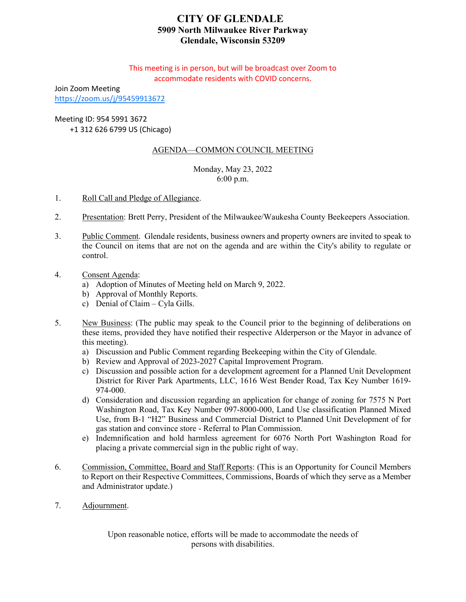# **CITY OF GLENDALE 5909 North Milwaukee River Parkway Glendale, Wisconsin 53209**

#### This meeting is in person, but will be broadcast over Zoom to accommodate residents with COVID concerns.

Join Zoom Meeting <https://zoom.us/j/95459913672>

# Meeting ID: 954 5991 3672 +1 312 626 6799 US (Chicago)

# AGENDA—COMMON COUNCIL MEETING

# Monday, May 23, 2022 6:00 p.m.

- 1. Roll Call and Pledge of Allegiance.
- 2. [Presentation: Brett Perry, President of the Milwaukee/Waukesha County Beekeepers Association.](#page-1-0)
- 3. Public Comment. Glendale residents, business owners and property owners are invited to speak to the Council on items that are not on the agenda and are within the City's ability to regulate or control.
- 4. Consent Agenda:
	- a) [Adoption of Minutes of Meeting held on March 9, 2022.](#page-2-0)
	- b) Approval of Monthly Reports.
	- c) Denial of Claim Cyla Gills.
- 5. New Business: (The public may speak to the Council prior to the beginning of deliberations on these items, provided they have notified their respective Alderperson or the Mayor in advance of this meeting).
	- [a\) Discussion and Public Comment regarding Beekeeping within the City of Glendale.](#page-3-0)
	- [b\) Review and Approval of 2023-2027 Capital Improvement Program.](#page-5-0)
	- c) Discussion and possible action for a development agreement for a Planned Unit Development [District for River Park Apartments, LLC, 1616 West Bender Road, Tax Key Number 1619-](#page-8-0) 974-000.
	- d) Consideration and discussion regarding an application for change of zoning for 7575 N Port [Washington Road, Tax Key Number 097-8000-000, Land Use classification Planned Mixed](#page-10-0) Use, from B-1 "H2" Business and Commercial District to Planned Unit Development of for gas station and convince store - Referral to Plan Commission.
	- e) [Indemnification and hold harmless agreement for 6076 North Port Washington Road for](#page-12-0) placing a private commercial sign in the public right of way.
- 6. Commission, Committee, Board and Staff Reports: (This is an Opportunity for Council Members to Report on their Respective Committees, Commissions, Boards of which they serve as a Member and Administrator update.)
- 7. Adjournment.

## Upon reasonable notice, efforts will be made to accommodate the needs of persons with disabilities.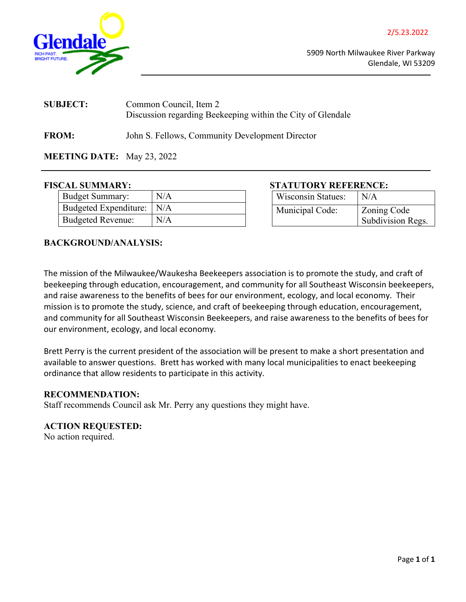

<span id="page-1-0"></span>

| <b>SUBJECT:</b> | Common Council, Item 2                                      |
|-----------------|-------------------------------------------------------------|
|                 | Discussion regarding Beekeeping within the City of Glendale |
|                 |                                                             |

**FROM:** John S. Fellows, Community Development Director

# **MEETING DATE:** May 23, 2022

| <b>Budget Summary:</b>   | N/A |
|--------------------------|-----|
| Budgeted Expenditure:    | N/A |
| <b>Budgeted Revenue:</b> | N/A |

# **FISCAL SUMMARY: STATUTORY REFERENCE:**

| <b>Wisconsin Statues:</b> | N/A                              |
|---------------------------|----------------------------------|
| Municipal Code:           | Zoning Code<br>Subdivision Regs. |

# **BACKGROUND/ANALYSIS:**

The mission of the Milwaukee/Waukesha Beekeepers association is to promote the study, and craft of beekeeping through education, encouragement, and community for all Southeast Wisconsin beekeepers, and raise awareness to the benefits of bees for our environment, ecology, and local economy. Their mission is to promote the study, science, and craft of beekeeping through education, encouragement, and community for all Southeast Wisconsin Beekeepers, and raise awareness to the benefits of bees for our environment, ecology, and local economy.

Brett Perry is the current president of the association will be present to make a short presentation and available to answer questions. Brett has worked with many local municipalities to enact beekeeping ordinance that allow residents to participate in this activity.

# **RECOMMENDATION:**

Staff recommends Council ask Mr. Perry any questions they might have.

# **ACTION REQUESTED:**

No action required.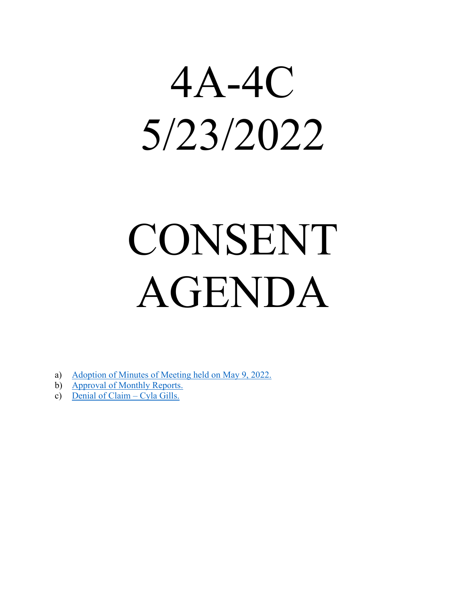<span id="page-2-0"></span>

# CONSENT AGENDA

- a) [Adoption of Minutes of Meeting held on May 9, 2022.](https://www.glendale-wi.org/DocumentCenter/View/2689/Council-Minutes-5-9-2022)
- b) [Approval of Monthly Reports.](https://www.glendale-wi.org/DocumentCenter/View/2684/April-2022-for-Common-Council)
- c) [Denial of Claim Cyla Gills.](https://www.glendale-wi.org/DocumentCenter/View/2688/Memo----Notice-of-Claim---Gills)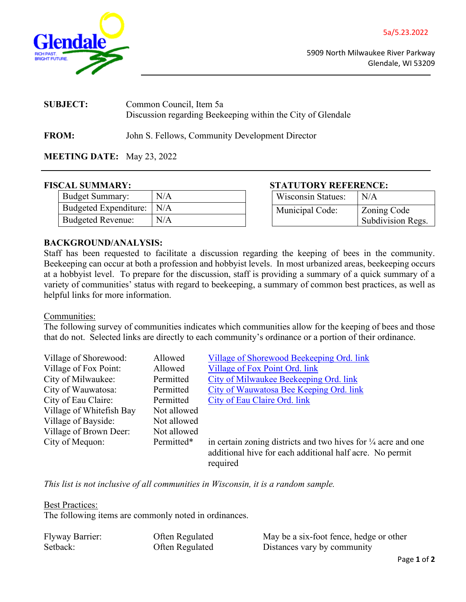<span id="page-3-0"></span>

| <b>SUBJECT:</b> | Common Council, Item 5a                                     |
|-----------------|-------------------------------------------------------------|
|                 | Discussion regarding Beekeeping within the City of Glendale |
|                 |                                                             |

**FROM:** John S. Fellows, Community Development Director

# **MEETING DATE:** May 23, 2022

| <b>Budget Summary:</b>   | N/A |
|--------------------------|-----|
| Budgeted Expenditure:    | N/A |
| <b>Budgeted Revenue:</b> | N/A |

# **FISCAL SUMMARY: STATUTORY REFERENCE:**

| <b>Wisconsin Statues:</b> | N/A               |
|---------------------------|-------------------|
| Municipal Code:           | Zoning Code       |
|                           | Subdivision Regs. |

# **BACKGROUND/ANALYSIS:**

Staff has been requested to facilitate a discussion regarding the keeping of bees in the community. Beekeeping can occur at both a profession and hobbyist levels. In most urbanized areas, beekeeping occurs at a hobbyist level. To prepare for the discussion, staff is providing a summary of a quick summary of a variety of communities' status with regard to beekeeping, a summary of common best practices, as well as helpful links for more information.

# Communities:

The following survey of communities indicates which communities allow for the keeping of bees and those that do not. Selected links are directly to each community's ordinance or a portion of their ordinance.

| Village of Shorewood:    | Allowed     | Village of Shorewood Beekeeping Ord. link                                |
|--------------------------|-------------|--------------------------------------------------------------------------|
| Village of Fox Point:    | Allowed     | Village of Fox Point Ord. link                                           |
| City of Milwaukee:       | Permitted   | City of Milwaukee Beekeeping Ord. link                                   |
| City of Wauwatosa:       | Permitted   | City of Wauwatosa Bee Keeping Ord. link                                  |
| City of Eau Claire:      | Permitted   | City of Eau Claire Ord. link                                             |
| Village of Whitefish Bay | Not allowed |                                                                          |
| Village of Bayside:      | Not allowed |                                                                          |
| Village of Brown Deer:   | Not allowed |                                                                          |
| City of Mequon:          | Permitted*  | in certain zoning districts and two hives for $\frac{1}{4}$ acre and one |
|                          |             | additional hive for each additional half acre. No permit                 |
|                          |             | required                                                                 |

*This list is not inclusive of all communities in Wisconsin, it is a random sample.* 

#### Best Practices:

The following items are commonly noted in ordinances.

| <b>Flyway Barrier:</b> | Often Regulated | May be a six-foot fence, hedge or other |
|------------------------|-----------------|-----------------------------------------|
| Setback:               | Often Regulated | Distances vary by community             |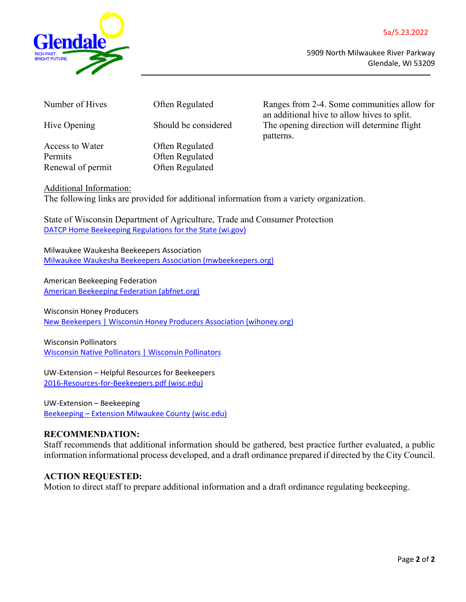

| Number of Hives | Often Regulated  |
|-----------------|------------------|
| Hive Opening    | Should be consid |
| Access to Water | Often Regulated  |

Permits Often Regulated

Renewal of permit Often Regulated

Number of Hives Often Regulated Ranges from 2-4. Some communities allow for an additional hive to allow hives to split. Hive Opening Should be considered The opening direction will determine flight patterns.

Additional Information:

The following links are provided for additional information from a variety organization.

State of Wisconsin Department of Agriculture, Trade and Consumer Protection [DATCP Home Beekeeping Regulations for the State \(wi.gov\)](https://datcp.wi.gov/Pages/Programs_Services/BeekeepingRegulations.aspx)

Milwaukee Waukesha Beekeepers Association [Milwaukee Waukesha Beekeepers Association \(mwbeekeepers.org\)](http://mwbeekeepers.org/)

American Beekeeping Federation [American Beekeeping Federation \(abfnet.org\)](https://www.abfnet.org/)

Wisconsin Honey Producers [New Beekeepers | Wisconsin Honey Producers Association \(wihoney.org\)](https://wihoney.org/resources/new-beekeepers/)

Wisconsin Pollinators [Wisconsin Native Pollinators | Wisconsin Pollinators](https://wisconsinpollinators.com/)

UW-Extension – Helpful Resources for Beekeepers [2016-Resources-for-Beekeepers.pdf \(wisc.edu\)](https://milwaukee.extension.wisc.edu/files/2016/09/2016-Resources-for-Beekeepers.pdf)

UW-Extension – Beekeeping [Beekeeping – Extension Milwaukee County \(wisc.edu\)](https://milwaukee.extension.wisc.edu/agriculture/beekeeping/)

# **RECOMMENDATION:**

Staff recommends that additional information should be gathered, best practice further evaluated, a public information informational process developed, and a draft ordinance prepared if directed by the City Council.

# **ACTION REQUESTED:**

Motion to direct staff to prepare additional information and a draft ordinance regulating beekeeping.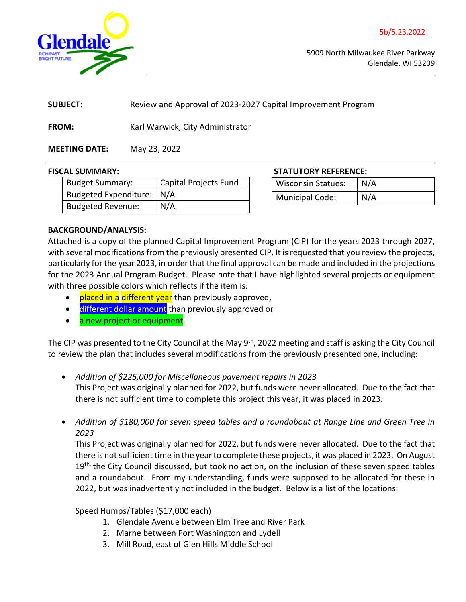<span id="page-5-0"></span>

| <b>SUBJECT:</b> | Review and Approval of 2023-2027 Capital Improvement Program |  |
|-----------------|--------------------------------------------------------------|--|
|                 |                                                              |  |

**FROM:** Karl Warwick, City Administrator

# **MEETING DATE:** May 23, 2022

| .                           |                       |
|-----------------------------|-----------------------|
| <b>Budget Summary:</b>      | Capital Projects Fund |
| Budgeted Expenditure:   N/A |                       |
| <b>Budgeted Revenue:</b>    | N/A                   |

# **FISCAL SUMMARY: STATUTORY REFERENCE:**

| <b>Wisconsin Statues:</b> | N/A |
|---------------------------|-----|
| <b>Municipal Code:</b>    | N/A |

# **BACKGROUND/ANALYSIS:**

Attached is a copy of the planned Capital Improvement Program (CIP) for the years 2023 through 2027, with several modifications from the previously presented CIP. It is requested that you review the projects, particularly for the year 2023, in order that the final approval can be made and included in the projections for the 2023 Annual Program Budget. Please note that I have highlighted several projects or equipment with three possible colors which reflects if the item is:

- placed in a different year than previously approved,
- different dollar amount than previously approved or
- a new project or equipment.

The CIP was presented to the City Council at the May 9<sup>th</sup>, 2022 meeting and staff is asking the City Council to review the plan that includes several modifications from the previously presented one, including:

- *Addition of \$225,000 for Miscellaneous pavement repairs in 2023* This Project was originally planned for 2022, but funds were never allocated. Due to the fact that there is not sufficient time to complete this project this year, it was placed in 2023.
- *Addition of \$180,000 for seven speed tables and a roundabout at Range Line and Green Tree in 2023*

This Project was originally planned for 2022, but funds were never allocated. Due to the fact that there is not sufficient time in the year to complete these projects, it was placed in 2023. On August  $19<sup>th</sup>$  the City Council discussed, but took no action, on the inclusion of these seven speed tables and a roundabout. From my understanding, funds were supposed to be allocated for these in 2022, but was inadvertently not included in the budget. Below is a list of the locations:

Speed Humps/Tables (\$17,000 each)

- 1. Glendale Avenue between Elm Tree and River Park
- 2. Marne between Port Washington and Lydell
- 3. Mill Road, east of Glen Hills Middle School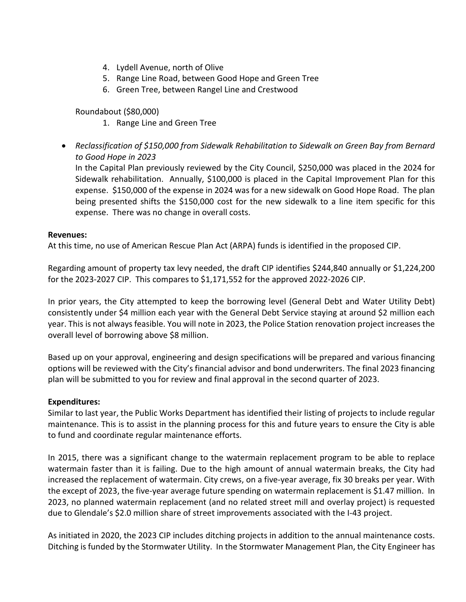- 4. Lydell Avenue, north of Olive
- 5. Range Line Road, between Good Hope and Green Tree
- 6. Green Tree, between Rangel Line and Crestwood

Roundabout (\$80,000)

- 1. Range Line and Green Tree
- *Reclassification of \$150,000 from Sidewalk Rehabilitation to Sidewalk on Green Bay from Bernard to Good Hope in 2023* In the Capital Plan previously reviewed by the City Council, \$250,000 was placed in the 2024 for Sidewalk rehabilitation. Annually, \$100,000 is placed in the Capital Improvement Plan for this expense. \$150,000 of the expense in 2024 was for a new sidewalk on Good Hope Road. The plan being presented shifts the \$150,000 cost for the new sidewalk to a line item specific for this expense. There was no change in overall costs.

## **Revenues:**

At this time, no use of American Rescue Plan Act (ARPA) funds is identified in the proposed CIP.

Regarding amount of property tax levy needed, the draft CIP identifies \$244,840 annually or \$1,224,200 for the 2023-2027 CIP. This compares to \$1,171,552 for the approved 2022-2026 CIP.

In prior years, the City attempted to keep the borrowing level (General Debt and Water Utility Debt) consistently under \$4 million each year with the General Debt Service staying at around \$2 million each year. This is not always feasible. You will note in 2023, the Police Station renovation project increases the overall level of borrowing above \$8 million.

Based up on your approval, engineering and design specifications will be prepared and various financing options will be reviewed with the City's financial advisor and bond underwriters. The final 2023 financing plan will be submitted to you for review and final approval in the second quarter of 2023.

# **Expenditures:**

Similar to last year, the Public Works Department has identified their listing of projects to include regular maintenance. This is to assist in the planning process for this and future years to ensure the City is able to fund and coordinate regular maintenance efforts.

In 2015, there was a significant change to the watermain replacement program to be able to replace watermain faster than it is failing. Due to the high amount of annual watermain breaks, the City had increased the replacement of watermain. City crews, on a five-year average, fix 30 breaks per year. With the except of 2023, the five-year average future spending on watermain replacement is \$1.47 million. In 2023, no planned watermain replacement (and no related street mill and overlay project) is requested due to Glendale's \$2.0 million share of street improvements associated with the I-43 project.

As initiated in 2020, the 2023 CIP includes ditching projects in addition to the annual maintenance costs. Ditching is funded by the Stormwater Utility. In the Stormwater Management Plan, the City Engineer has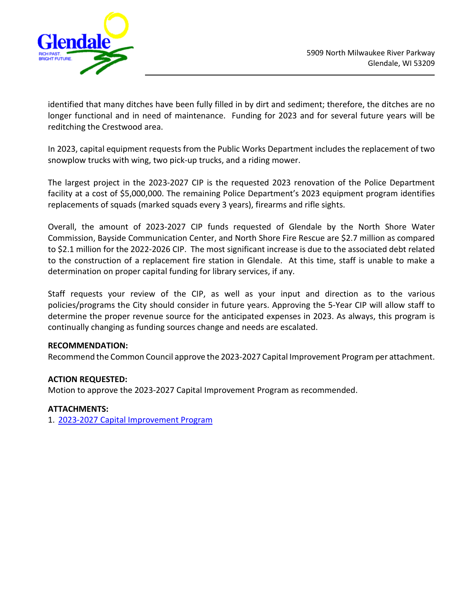

identified that many ditches have been fully filled in by dirt and sediment; therefore, the ditches are no longer functional and in need of maintenance. Funding for 2023 and for several future years will be reditching the Crestwood area.

In 2023, capital equipment requests from the Public Works Department includes the replacement of two snowplow trucks with wing, two pick-up trucks, and a riding mower.

The largest project in the 2023-2027 CIP is the requested 2023 renovation of the Police Department facility at a cost of \$5,000,000. The remaining Police Department's 2023 equipment program identifies replacements of squads (marked squads every 3 years), firearms and rifle sights.

Overall, the amount of 2023-2027 CIP funds requested of Glendale by the North Shore Water Commission, Bayside Communication Center, and North Shore Fire Rescue are \$2.7 million as compared to \$2.1 million for the 2022-2026 CIP. The most significant increase is due to the associated debt related to the construction of a replacement fire station in Glendale. At this time, staff is unable to make a determination on proper capital funding for library services, if any.

Staff requests your review of the CIP, as well as your input and direction as to the various policies/programs the City should consider in future years. Approving the 5-Year CIP will allow staff to determine the proper revenue source for the anticipated expenses in 2023. As always, this program is continually changing as funding sources change and needs are escalated.

# **RECOMMENDATION:**

Recommend the Common Council approve the 2023-2027 Capital Improvement Program per attachment.

# **ACTION REQUESTED:**

Motion to approve the 2023-2027 Capital Improvement Program as recommended.

#### **ATTACHMENTS:**

1. [2023-2027 Capital Improvement Program](https://www.glendale-wi.org/DocumentCenter/View/2683/Attach---2023-27-Capital-Improvement-Program)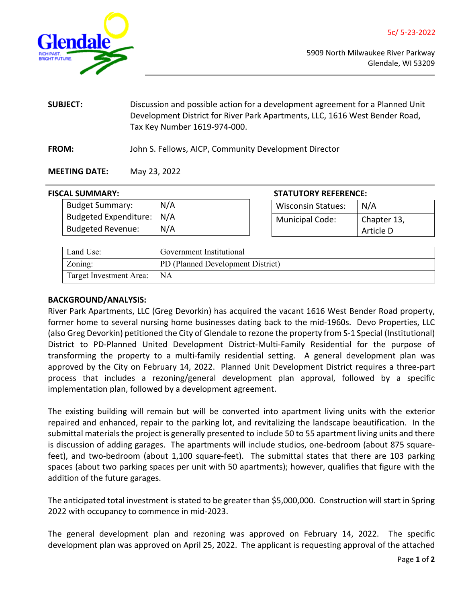<span id="page-8-0"></span>

- **SUBJECT:** Discussion and possible action for a development agreement for a Planned Unit Development District for River Park Apartments, LLC, 1616 West Bender Road, Tax Key Number 1619-974-000.
- **FROM:** John S. Fellows, AICP, Community Development Director

# **MEETING DATE:** May 23, 2022

| <b>FISCAL SUMMARY:</b> |                             |     | <b>STATUTORY REFERENCE:</b> |                           |             |
|------------------------|-----------------------------|-----|-----------------------------|---------------------------|-------------|
|                        | <b>Budget Summary:</b>      | N/A |                             | <b>Wisconsin Statues:</b> | N/A         |
|                        | Budgeted Expenditure:   N/A |     |                             | <b>Municipal Code:</b>    | Chapter 13, |
|                        | <b>Budgeted Revenue:</b>    | N/A |                             |                           | Article D   |

| Land Use:               | Government Institutional          |
|-------------------------|-----------------------------------|
| Zoning:                 | PD (Planned Development District) |
| Target Investment Area: | NA                                |

## **BACKGROUND/ANALYSIS:**

River Park Apartments, LLC (Greg Devorkin) has acquired the vacant 1616 West Bender Road property, former home to several nursing home businesses dating back to the mid-1960s. Devo Properties, LLC (also Greg Devorkin) petitioned the City of Glendale to rezone the property from S-1 Special (Institutional) District to PD-Planned United Development District-Multi-Family Residential for the purpose of transforming the property to a multi-family residential setting. A general development plan was approved by the City on February 14, 2022. Planned Unit Development District requires a three-part process that includes a rezoning/general development plan approval, followed by a specific implementation plan, followed by a development agreement.

The existing building will remain but will be converted into apartment living units with the exterior repaired and enhanced, repair to the parking lot, and revitalizing the landscape beautification. In the submittal materials the project is generally presented to include 50 to 55 apartment living units and there is discussion of adding garages. The apartments will include studios, one-bedroom (about 875 squarefeet), and two-bedroom (about 1,100 square-feet). The submittal states that there are 103 parking spaces (about two parking spaces per unit with 50 apartments); however, qualifies that figure with the addition of the future garages.

The anticipated total investment is stated to be greater than \$5,000,000. Construction will start in Spring 2022 with occupancy to commence in mid-2023.

The general development plan and rezoning was approved on February 14, 2022. The specific development plan was approved on April 25, 2022. The applicant is requesting approval of the attached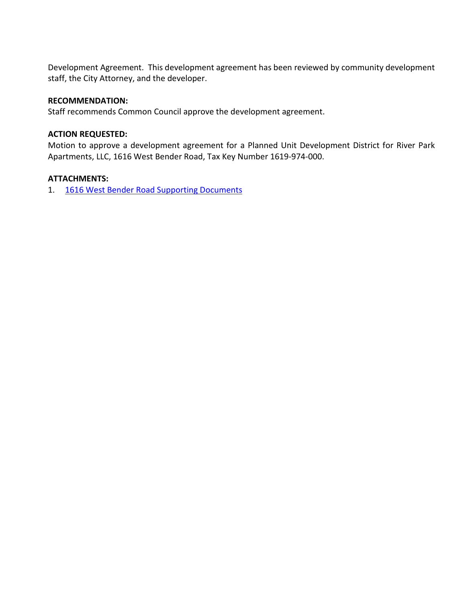Development Agreement. This development agreement has been reviewed by community development staff, the City Attorney, and the developer.

## **RECOMMENDATION:**

Staff recommends Common Council approve the development agreement.

# **ACTION REQUESTED:**

Motion to approve a development agreement for a Planned Unit Development District for River Park Apartments, LLC, 1616 West Bender Road, Tax Key Number 1619-974-000.

## **ATTACHMENTS:**

1. [1616 West Bender Road Supporting Documents](https://www.glendale-wi.org/DocumentCenter/View/2687/4b-Attachment--Development-Agreement---1616-W-Bender---Devco-River-Park-Apartments-LLC)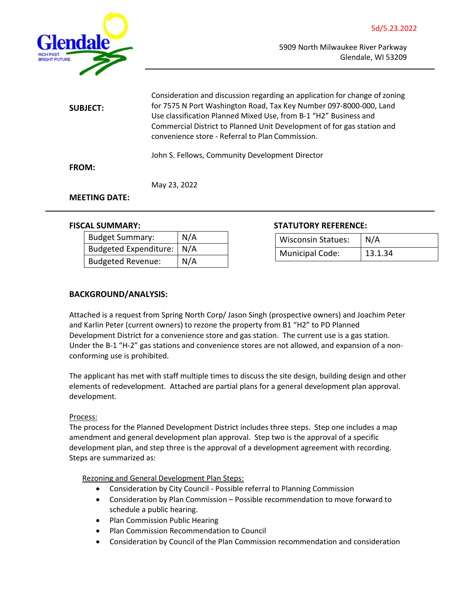<span id="page-10-0"></span>

**SUBJECT: FROM:** Consideration and discussion regarding an application for change of zoning for 7575 N Port Washington Road, Tax Key Number 097-8000-000, Land Use classification Planned Mixed Use, from B-1 "H2" Busin[ess and](javascript:void(0))  [Com](javascript:void(0))mercial District to Planned Unit Development of for gas station and convenience store - Referral to Plan Commission. John S. Fellows, Community Development Director May 23, 2022

**MEETING DATE:**

| .                            |     |  |
|------------------------------|-----|--|
| <b>Budget Summary:</b>       | N/A |  |
| <b>Budgeted Expenditure:</b> | N/A |  |
| <b>Budgeted Revenue:</b>     | N/A |  |

# **FISCAL SUMMARY: STATUTORY REFERENCE:**

| <b>Wisconsin Statues:</b> | N/A     |
|---------------------------|---------|
| <b>Municipal Code:</b>    | 13.1.34 |

## **BACKGROUND/ANALYSIS:**

Attached is a request from Spring North Corp/ Jason Singh (prospective owners) and Joachim Peter and Karlin Peter (current owners) to rezone the property from B1 "H2" to PD Planned Development District for a convenience store and gas station. The current use is a gas station. Under the B-1 "H-2" gas stations and convenience stores are not allowed, and expansion of a nonconforming use is prohibited.

The applicant has met with staff multiple times to discuss the site design, building design and other elements of redevelopment. Attached are partial plans for a general development plan approval. development.

#### Process:

The process for the Planned Development District includes three steps. Step one includes a map amendment and general development plan approval. Step two is the approval of a specific development plan, and step three is the approval of a development agreement with recording. Steps are summarized as:

Rezoning and General Development Plan Steps:

- Consideration by City Council Possible referral to Planning Commission
- Consideration by Plan Commission Possible recommendation to move forward to schedule a public hearing.
- Plan Commission Public Hearing
- Plan Commission Recommendation to Council
- Consideration by Council of the Plan Commission recommendation and consideration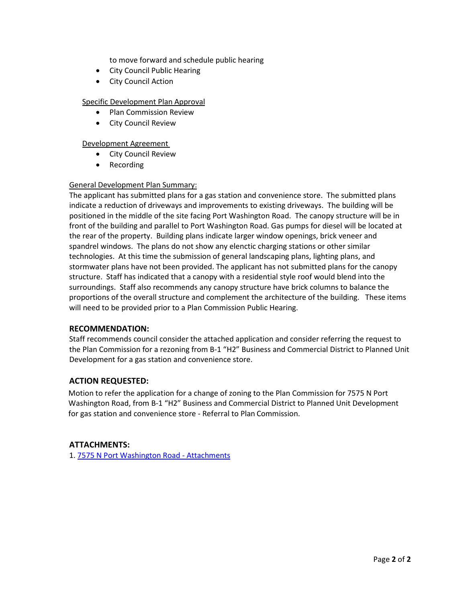to move forward and schedule public hearing

- City Council Public Hearing
- City Council Action

#### Specific Development Plan Approval

- Plan Commission Review
- City Council Review

#### Development Agreement

- City Council Review
- Recording

## General Development Plan Summary:

The applicant has submitted plans for a gas station and convenience store. The submitted plans indicate a reduction of driveways and improvements to existing driveways. The building will be positioned in the middle of the site facing Port Washington Road. The canopy structure will be in front of the building and parallel to Port Washington Road. Gas pumps for diesel will be located at the rear of the property. Building plans indicate larger window openings, brick veneer and spandrel windows. The plans do not show any elenctic charging stations or other similar technologies. At this time the submission of general landscaping plans, lighting plans, and stormwater plans have not been provided. The applicant has not submitted plans for the canopy structure. Staff has indicated that a canopy with a residential style roof would blend into the surroundings. Staff also recommends any canopy structure have brick columns to balance the proportions of the overall structure and complement the architecture of the building. These items will need to be provided prior to a Plan Commission Public Hearing.

#### **RECOMMENDATION:**

Staff recommends council consider the attached application and consider referring the request to the Plan Commission for a rezoning from B-1 "H2" Business and Commercial District to Planned Unit Development for a gas station and convenience store.

# **ACTION REQUESTED:**

Motion to refer the application for a change of zoning to the Plan Commission for 7575 N Port Washington Road, from B-1 "H2" Business and Commercial District to Planned Unit Development for gas station and convenience store - Referral to Plan Commission.

#### **ATTACHMENTS:**

1. [7575 N Port Washington Road - Attachments](https://www.glendale-wi.org/DocumentCenter/View/2686/Attachment-7575-N-Port-Washington-Rd)